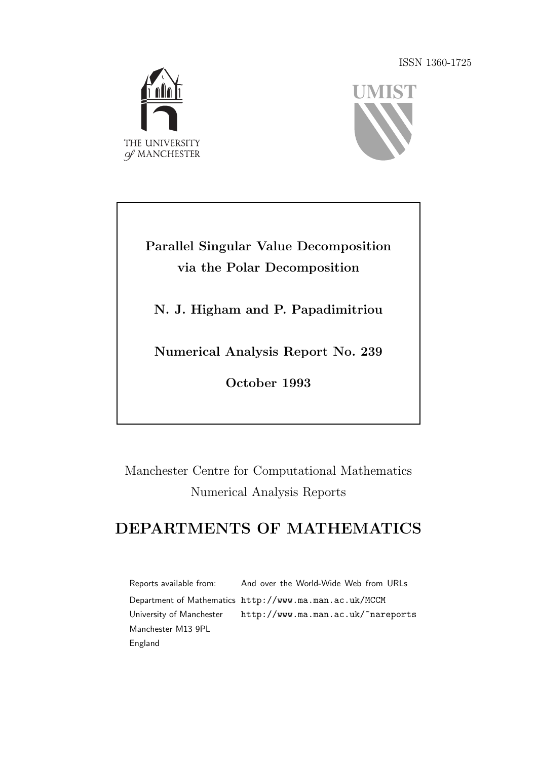ISSN 1360-1725





Parallel Singular Value Decomposition via the Polar Decomposition

N. J. Higham and P. Papadimitriou

Numerical Analysis Report No. 239

October 1993

Manchester Centre for Computational Mathematics Numerical Analysis Reports

## DEPARTMENTS OF MATHEMATICS

Reports available from: Department of Mathematics http://www.ma.man.ac.uk/MCCM University of Manchester Manchester M13 9PL England And over the World-Wide Web from URLs http://www.ma.man.ac.uk/~nareports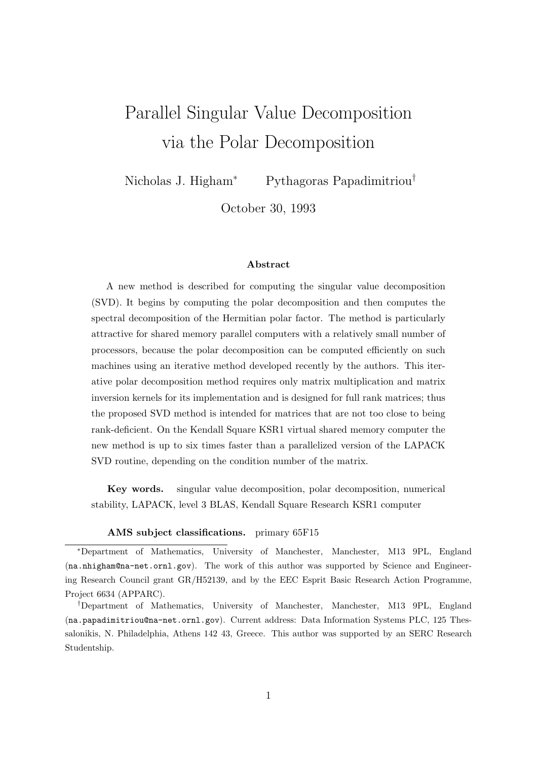# Parallel Singular Value Decomposition via the Polar Decomposition

Nicholas J. Higham<sup>∗</sup> Pythagoras Papadimitriou†

October 30, 1993

#### Abstract

A new method is described for computing the singular value decomposition (SVD). It begins by computing the polar decomposition and then computes the spectral decomposition of the Hermitian polar factor. The method is particularly attractive for shared memory parallel computers with a relatively small number of processors, because the polar decomposition can be computed efficiently on such machines using an iterative method developed recently by the authors. This iterative polar decomposition method requires only matrix multiplication and matrix inversion kernels for its implementation and is designed for full rank matrices; thus the proposed SVD method is intended for matrices that are not too close to being rank-deficient. On the Kendall Square KSR1 virtual shared memory computer the new method is up to six times faster than a parallelized version of the LAPACK SVD routine, depending on the condition number of the matrix.

Key words. singular value decomposition, polar decomposition, numerical stability, LAPACK, level 3 BLAS, Kendall Square Research KSR1 computer

#### AMS subject classifications. primary 65F15

<sup>∗</sup>Department of Mathematics, University of Manchester, Manchester, M13 9PL, England (na.nhigham@na-net.ornl.gov). The work of this author was supported by Science and Engineering Research Council grant GR/H52139, and by the EEC Esprit Basic Research Action Programme, Project 6634 (APPARC).

<sup>†</sup>Department of Mathematics, University of Manchester, Manchester, M13 9PL, England (na.papadimitriou@na-net.ornl.gov). Current address: Data Information Systems PLC, 125 Thessalonikis, N. Philadelphia, Athens 142 43, Greece. This author was supported by an SERC Research Studentship.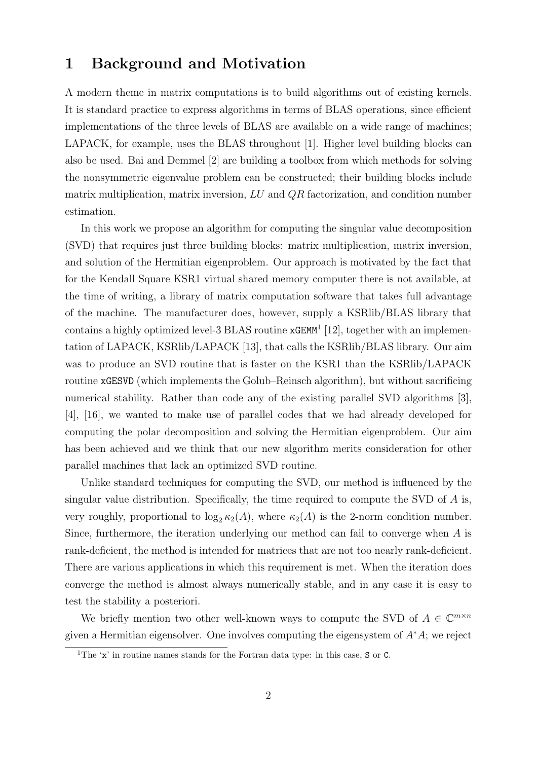### 1 Background and Motivation

A modern theme in matrix computations is to build algorithms out of existing kernels. It is standard practice to express algorithms in terms of BLAS operations, since efficient implementations of the three levels of BLAS are available on a wide range of machines; LAPACK, for example, uses the BLAS throughout [1]. Higher level building blocks can also be used. Bai and Demmel [2] are building a toolbox from which methods for solving the nonsymmetric eigenvalue problem can be constructed; their building blocks include matrix multiplication, matrix inversion, LU and QR factorization, and condition number estimation.

In this work we propose an algorithm for computing the singular value decomposition (SVD) that requires just three building blocks: matrix multiplication, matrix inversion, and solution of the Hermitian eigenproblem. Our approach is motivated by the fact that for the Kendall Square KSR1 virtual shared memory computer there is not available, at the time of writing, a library of matrix computation software that takes full advantage of the machine. The manufacturer does, however, supply a KSRlib/BLAS library that contains a highly optimized level-3 BLAS routine  $\mathbf{xGEMM}^1$  [12], together with an implementation of LAPACK, KSRlib/LAPACK [13], that calls the KSRlib/BLAS library. Our aim was to produce an SVD routine that is faster on the KSR1 than the KSRlib/LAPACK routine xGESVD (which implements the Golub–Reinsch algorithm), but without sacrificing numerical stability. Rather than code any of the existing parallel SVD algorithms [3], [4], [16], we wanted to make use of parallel codes that we had already developed for computing the polar decomposition and solving the Hermitian eigenproblem. Our aim has been achieved and we think that our new algorithm merits consideration for other parallel machines that lack an optimized SVD routine.

Unlike standard techniques for computing the SVD, our method is influenced by the singular value distribution. Specifically, the time required to compute the SVD of  $\tilde{A}$  is, very roughly, proportional to  $\log_2 \kappa_2(A)$ , where  $\kappa_2(A)$  is the 2-norm condition number. Since, furthermore, the iteration underlying our method can fail to converge when A is rank-deficient, the method is intended for matrices that are not too nearly rank-deficient. There are various applications in which this requirement is met. When the iteration does converge the method is almost always numerically stable, and in any case it is easy to test the stability a posteriori.

We briefly mention two other well-known ways to compute the SVD of  $A \in \mathbb{C}^{m \times n}$ given a Hermitian eigensolver. One involves computing the eigensystem of  $A^*A$ ; we reject

<sup>&</sup>lt;sup>1</sup>The  $x'$  in routine names stands for the Fortran data type: in this case, S or C.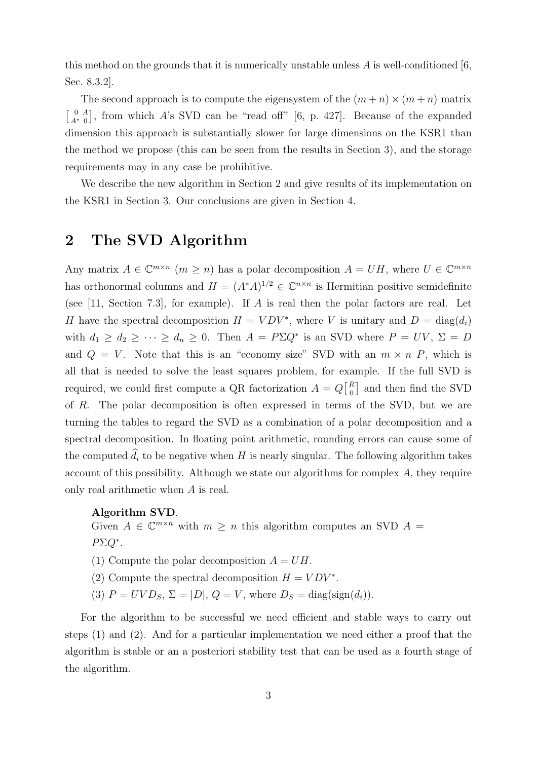this method on the grounds that it is numerically unstable unless  $A$  is well-conditioned [6, Sec. 8.3.2].

The second approach is to compute the eigensystem of the  $(m+n) \times (m+n)$  matrix  $\left[ \begin{smallmatrix} 0 & A \\ A^* & 0 \end{smallmatrix} \right]$  $\binom{4}{0}$ , from which A's SVD can be "read off" [6, p. 427]. Because of the expanded dimension this approach is substantially slower for large dimensions on the KSR1 than the method we propose (this can be seen from the results in Section 3), and the storage requirements may in any case be prohibitive.

We describe the new algorithm in Section 2 and give results of its implementation on the KSR1 in Section 3. Our conclusions are given in Section 4.

### 2 The SVD Algorithm

Any matrix  $A \in \mathbb{C}^{m \times n}$   $(m \geq n)$  has a polar decomposition  $A = UH$ , where  $U \in \mathbb{C}^{m \times n}$ has orthonormal columns and  $H = (A^*A)^{1/2} \in \mathbb{C}^{n \times n}$  is Hermitian positive semidefinite (see [11, Section 7.3], for example). If A is real then the polar factors are real. Let H have the spectral decomposition  $H = VDV^*$ , where V is unitary and  $D = diag(d_i)$ with  $d_1 \geq d_2 \geq \cdots \geq d_n \geq 0$ . Then  $A = P \Sigma Q^*$  is an SVD where  $P = UV$ ,  $\Sigma = D$ and  $Q = V$ . Note that this is an "economy size" SVD with an  $m \times n$  P, which is all that is needed to solve the least squares problem, for example. If the full SVD is required, we could first compute a QR factorization  $A = Q\begin{bmatrix} R & R \end{bmatrix}$  $\binom{R}{0}$  and then find the SVD of R. The polar decomposition is often expressed in terms of the SVD, but we are turning the tables to regard the SVD as a combination of a polar decomposition and a spectral decomposition. In floating point arithmetic, rounding errors can cause some of the computed  $\hat{d}_i$  to be negative when H is nearly singular. The following algorithm takes account of this possibility. Although we state our algorithms for complex  $A$ , they require only real arithmetic when A is real.

#### Algorithm SVD.

Given  $A \in \mathbb{C}^{m \times n}$  with  $m \geq n$  this algorithm computes an SVD  $A =$  $P\Sigma Q^*$ .

- (1) Compute the polar decomposition  $A = UH$ .
- (2) Compute the spectral decomposition  $H = VDV^*$ .
- (3)  $P = UVD<sub>S</sub>$ ,  $\Sigma = |D|$ ,  $Q = V$ , where  $D<sub>S</sub> = \text{diag}(\text{sign}(d<sub>i</sub>)).$

For the algorithm to be successful we need efficient and stable ways to carry out steps (1) and (2). And for a particular implementation we need either a proof that the algorithm is stable or an a posteriori stability test that can be used as a fourth stage of the algorithm.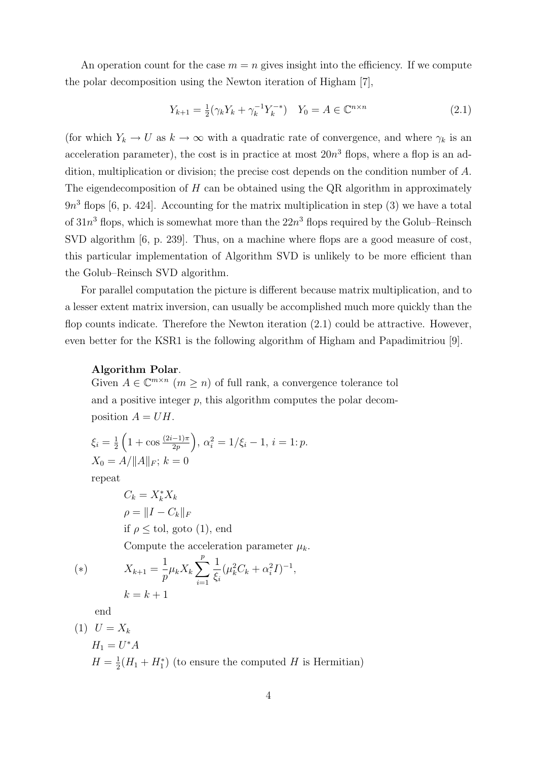An operation count for the case  $m = n$  gives insight into the efficiency. If we compute the polar decomposition using the Newton iteration of Higham [7],

$$
Y_{k+1} = \frac{1}{2}(\gamma_k Y_k + \gamma_k^{-1} Y_k^{-*}) \quad Y_0 = A \in \mathbb{C}^{n \times n}
$$
\n(2.1)

(for which  $Y_k \to U$  as  $k \to \infty$  with a quadratic rate of convergence, and where  $\gamma_k$  is an acceleration parameter), the cost is in practice at most  $20n^3$  flops, where a flop is an addition, multiplication or division; the precise cost depends on the condition number of A. The eigendecomposition of  $H$  can be obtained using the QR algorithm in approximately  $9n<sup>3</sup>$  flops [6, p. 424]. Accounting for the matrix multiplication in step (3) we have a total of  $31n^3$  flops, which is somewhat more than the  $22n^3$  flops required by the Golub–Reinsch SVD algorithm [6, p. 239]. Thus, on a machine where flops are a good measure of cost, this particular implementation of Algorithm SVD is unlikely to be more efficient than the Golub–Reinsch SVD algorithm.

For parallel computation the picture is different because matrix multiplication, and to a lesser extent matrix inversion, can usually be accomplished much more quickly than the flop counts indicate. Therefore the Newton iteration (2.1) could be attractive. However, even better for the KSR1 is the following algorithm of Higham and Papadimitriou [9].

#### Algorithm Polar.

Given  $A \in \mathbb{C}^{m \times n}$   $(m \geq n)$  of full rank, a convergence tolerance tol and a positive integer  $p$ , this algorithm computes the polar decomposition  $A = UH$ .

$$
\xi_i = \frac{1}{2} \left( 1 + \cos \frac{(2i-1)\pi}{2p} \right), \ \alpha_i^2 = 1/\xi_i - 1, \ i = 1: p.
$$
  

$$
X_0 = A / \|A\|_F; \ k = 0
$$

repeat

$$
C_k = X_k^* X_k
$$
  
\n
$$
\rho = ||I - C_k||_F
$$
  
\nif  $\rho \leq \text{tol}$ , go  
\n
$$
\text{Commut a the acceleration per}
$$

Compute the acceleration parameter  $\mu_k$ .

(\*) 
$$
X_{k+1} = \frac{1}{p} \mu_k X_k \sum_{i=1}^p \frac{1}{\xi_i} (\mu_k^2 C_k + \alpha_i^2 I)^{-1},
$$

$$
k = k+1
$$

end

(1) 
$$
U = X_k
$$
  
\n $H_1 = U^*A$   
\n $H = \frac{1}{2}(H_1 + H_1^*)$  (to ensure the computed H is Hermitian)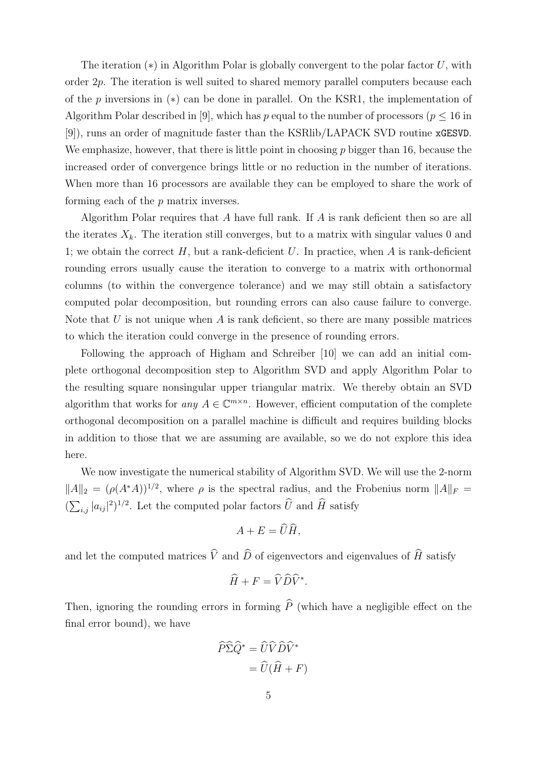The iteration  $(*)$  in Algorithm Polar is globally convergent to the polar factor U, with order 2p. The iteration is well suited to shared memory parallel computers because each of the p inversions in (∗) can be done in parallel. On the KSR1, the implementation of Algorithm Polar described in [9], which has p equal to the number of processors ( $p \le 16$  in [9]), runs an order of magnitude faster than the KSRlib/LAPACK SVD routine xGESVD. We emphasize, however, that there is little point in choosing  $p$  bigger than 16, because the increased order of convergence brings little or no reduction in the number of iterations. When more than 16 processors are available they can be employed to share the work of forming each of the p matrix inverses.

Algorithm Polar requires that A have full rank. If A is rank deficient then so are all the iterates  $X_k$ . The iteration still converges, but to a matrix with singular values 0 and 1; we obtain the correct  $H$ , but a rank-deficient  $U$ . In practice, when  $A$  is rank-deficient rounding errors usually cause the iteration to converge to a matrix with orthonormal columns (to within the convergence tolerance) and we may still obtain a satisfactory computed polar decomposition, but rounding errors can also cause failure to converge. Note that  $U$  is not unique when  $A$  is rank deficient, so there are many possible matrices to which the iteration could converge in the presence of rounding errors.

Following the approach of Higham and Schreiber [10] we can add an initial complete orthogonal decomposition step to Algorithm SVD and apply Algorithm Polar to the resulting square nonsingular upper triangular matrix. We thereby obtain an SVD algorithm that works for *any*  $A \in \mathbb{C}^{m \times n}$ . However, efficient computation of the complete orthogonal decomposition on a parallel machine is difficult and requires building blocks in addition to those that we are assuming are available, so we do not explore this idea here.

We now investigate the numerical stability of Algorithm SVD. We will use the 2-norm  $||A||_2 = (\rho(A^*A))^{1/2}$ , where  $\rho$  is the spectral radius, and the Frobenius norm  $||A||_F =$  $(\sum_{i,j} |a_{ij}|^2)^{1/2}$ . Let the computed polar factors  $\widehat{U}$  and  $\widehat{H}$  satisfy

$$
A+E=\widehat{U}\widehat{H},
$$

and let the computed matrices  $\widehat{V}$  and  $\widehat{D}$  of eigenvectors and eigenvalues of  $\widehat{H}$  satisfy

$$
\widehat{H} + F = \widehat{V}\widehat{D}\widehat{V}^*.
$$

Then, ignoring the rounding errors in forming  $\hat{P}$  (which have a negligible effect on the final error bound), we have

$$
\widehat{P}\widehat{\Sigma}\widehat{Q}^* = \widehat{U}\widehat{V}\widehat{D}\widehat{V}^*
$$

$$
= \widehat{U}(\widehat{H} + F)
$$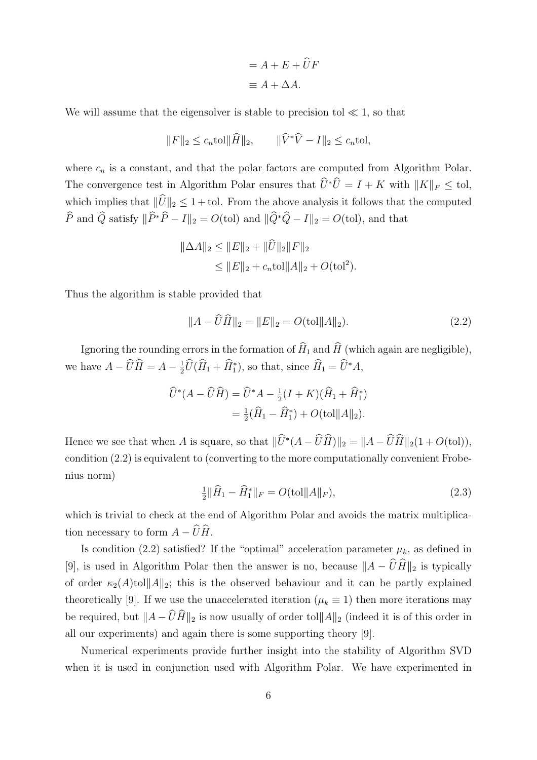$$
= A + E + \widehat{U}F
$$

$$
\equiv A + \Delta A.
$$

We will assume that the eigensolver is stable to precision to  $\ll 1$ , so that

$$
||F||_2 \leq c_n \text{tol} ||\widehat{H}||_2, \qquad ||\widehat{V}^*\widehat{V} - I||_2 \leq c_n \text{tol},
$$

where  $c_n$  is a constant, and that the polar factors are computed from Algorithm Polar. The convergence test in Algorithm Polar ensures that  $\widehat{U}^*\widehat{U} = I + K$  with  $||K||_F \leq \text{tol}$ , which implies that  $\|\widehat{U}\|_2 \leq 1 +$  tol. From the above analysis it follows that the computed  $\widehat{P}$  and  $\widehat{Q}$  satisfy  $\|\widehat{P}^*\widehat{P} - I\|_2 = O(\text{tol})$  and  $\|\widehat{Q}^*\widehat{Q} - I\|_2 = O(\text{tol})$ , and that

$$
\|\Delta A\|_2 \le \|E\|_2 + \|\hat{U}\|_2 \|F\|_2
$$
  
\n
$$
\le \|E\|_2 + c_n \text{tol} \|A\|_2 + O(\text{tol}^2).
$$

Thus the algorithm is stable provided that

$$
||A - \widehat{U}\widehat{H}||_2 = ||E||_2 = O(\text{tol}||A||_2). \tag{2.2}
$$

Ignoring the rounding errors in the formation of  $\widehat{H}_1$  and  $\widehat{H}$  (which again are negligible), we have  $A - \widehat{U}\widehat{H} = A - \frac{1}{2}$  $\frac{1}{2}\widehat{U}(\widehat{H}_1 + \widehat{H}_1^*)$ , so that, since  $\widehat{H}_1 = \widehat{U}^*A$ ,

$$
\widehat{U}^*(A - \widehat{U}\widehat{H}) = \widehat{U}^*A - \frac{1}{2}(I + K)(\widehat{H}_1 + \widehat{H}_1^*)
$$
  
=  $\frac{1}{2}(\widehat{H}_1 - \widehat{H}_1^*) + O(\text{tol}||A||_2).$ 

Hence we see that when A is square, so that  $\|\widehat{U}^*(A - \widehat{U}\widehat{H})\|_2 = \|A - \widehat{U}\widehat{H}\|_2(1 + O(\text{tol})),$ condition (2.2) is equivalent to (converting to the more computationally convenient Frobenius norm)

$$
\frac{1}{2} \|\widehat{H}_1 - \widehat{H}_1^*\|_F = O(\text{tol} \|A\|_F),\tag{2.3}
$$

which is trivial to check at the end of Algorithm Polar and avoids the matrix multiplication necessary to form  $A - \widehat{U}\widehat{H}$ .

Is condition (2.2) satisfied? If the "optimal" acceleration parameter  $\mu_k$ , as defined in [9], is used in Algorithm Polar then the answer is no, because  $||A - \widehat{U}\widehat{H}||_2$  is typically of order  $\kappa_2(A)$ tol $||A||_2$ ; this is the observed behaviour and it can be partly explained theoretically [9]. If we use the unaccelerated iteration ( $\mu_k \equiv 1$ ) then more iterations may be required, but  $||A - \widehat{U}\widehat{H}||_2$  is now usually of order tol $||A||_2$  (indeed it is of this order in all our experiments) and again there is some supporting theory [9].

Numerical experiments provide further insight into the stability of Algorithm SVD when it is used in conjunction used with Algorithm Polar. We have experimented in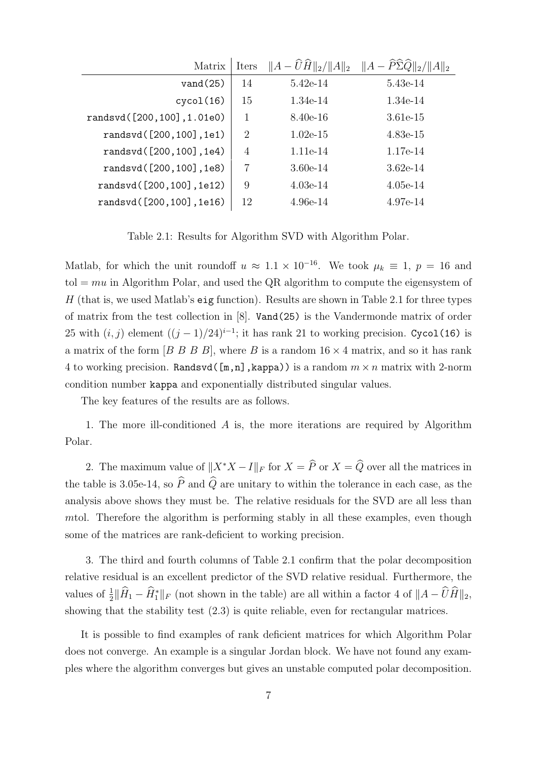| Matrix                          | Iters          | $  A - \hat{U}\hat{H}  _2/  A  _2$ | $  A - P\Sigma Q  _2$ |
|---------------------------------|----------------|------------------------------------|-----------------------|
| vand(25)                        | 14             | $5.42e-14$                         | 5.43e-14              |
| $\text{cycol}(16)$              | 15             | 1.34e-14                           | 1.34e-14              |
| randsvd( $[200, 100]$ , 1.01e0) | 1              | 8.40e-16                           | 3.61e-15              |
| randsvd( $[200, 100]$ , 1e1)    | 2              | $1.02e-15$                         | $4.83e-15$            |
| randsvd( $[200, 100]$ , 1e4)    | $\overline{4}$ | 1.11e-14                           | 1.17e-14              |
| randsvd( $[200, 100]$ , 1e8)    | 7              | $3.60e-14$                         | $3.62e-14$            |
| randsvd( $[200, 100]$ , 1e12)   | 9              | $4.03e-14$                         | $4.05e-14$            |
| randsvd( $[200, 100]$ , 1e16)   | 12             | 4.96e-14                           | 4.97e-14              |

Table 2.1: Results for Algorithm SVD with Algorithm Polar.

Matlab, for which the unit roundoff  $u \approx 1.1 \times 10^{-16}$ . We took  $\mu_k \equiv 1$ ,  $p = 16$  and tol  $= mu$  in Algorithm Polar, and used the QR algorithm to compute the eigensystem of  $H$  (that is, we used Matlab's eig function). Results are shown in Table 2.1 for three types of matrix from the test collection in [8]. Vand(25) is the Vandermonde matrix of order 25 with  $(i, j)$  element  $((j - 1)/24)^{i-1}$ ; it has rank 21 to working precision. Cycol(16) is a matrix of the form  $[B \ B \ B \ B]$ , where B is a random  $16 \times 4$  matrix, and so it has rank 4 to working precision. Randsvd( $[m,n]$ , kappa)) is a random  $m \times n$  matrix with 2-norm condition number kappa and exponentially distributed singular values.

The key features of the results are as follows.

1. The more ill-conditioned A is, the more iterations are required by Algorithm Polar.

2. The maximum value of  $||X^*X - I||_F$  for  $X = \widehat{P}$  or  $X = \widehat{Q}$  over all the matrices in the table is 3.05e-14, so  $\widehat{P}$  and  $\widehat{Q}$  are unitary to within the tolerance in each case, as the analysis above shows they must be. The relative residuals for the SVD are all less than mtol. Therefore the algorithm is performing stably in all these examples, even though some of the matrices are rank-deficient to working precision.

3. The third and fourth columns of Table 2.1 confirm that the polar decomposition relative residual is an excellent predictor of the SVD relative residual. Furthermore, the values of  $\frac{1}{2} \|\widehat{H}_1 - \widehat{H}_1^*\|_F$  (not shown in the table) are all within a factor 4 of  $\|A - \widehat{U}\widehat{H}\|_2$ , showing that the stability test (2.3) is quite reliable, even for rectangular matrices.

It is possible to find examples of rank deficient matrices for which Algorithm Polar does not converge. An example is a singular Jordan block. We have not found any examples where the algorithm converges but gives an unstable computed polar decomposition.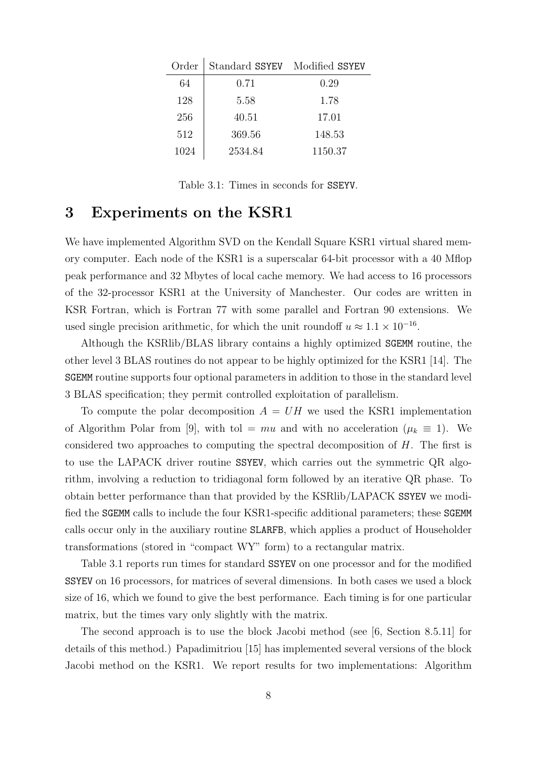| Order | Standard SSYEV Modified SSYEV |         |
|-------|-------------------------------|---------|
| 64    | 0.71                          | 0.29    |
| 128   | 5.58                          | 1.78    |
| 256   | 40.51                         | 17.01   |
| 512   | 369.56                        | 148.53  |
| 1024  | 2534.84                       | 1150.37 |

Table 3.1: Times in seconds for SSEYV.

### 3 Experiments on the KSR1

We have implemented Algorithm SVD on the Kendall Square KSR1 virtual shared memory computer. Each node of the KSR1 is a superscalar 64-bit processor with a 40 Mflop peak performance and 32 Mbytes of local cache memory. We had access to 16 processors of the 32-processor KSR1 at the University of Manchester. Our codes are written in KSR Fortran, which is Fortran 77 with some parallel and Fortran 90 extensions. We used single precision arithmetic, for which the unit roundoff  $u \approx 1.1 \times 10^{-16}$ .

Although the KSRlib/BLAS library contains a highly optimized SGEMM routine, the other level 3 BLAS routines do not appear to be highly optimized for the KSR1 [14]. The SGEMM routine supports four optional parameters in addition to those in the standard level 3 BLAS specification; they permit controlled exploitation of parallelism.

To compute the polar decomposition  $A = UH$  we used the KSR1 implementation of Algorithm Polar from [9], with tol = mu and with no acceleration ( $\mu_k \equiv 1$ ). We considered two approaches to computing the spectral decomposition of H. The first is to use the LAPACK driver routine SSYEV, which carries out the symmetric QR algorithm, involving a reduction to tridiagonal form followed by an iterative QR phase. To obtain better performance than that provided by the KSRlib/LAPACK SSYEV we modified the SGEMM calls to include the four KSR1-specific additional parameters; these SGEMM calls occur only in the auxiliary routine SLARFB, which applies a product of Householder transformations (stored in "compact WY" form) to a rectangular matrix.

Table 3.1 reports run times for standard SSYEV on one processor and for the modified SSYEV on 16 processors, for matrices of several dimensions. In both cases we used a block size of 16, which we found to give the best performance. Each timing is for one particular matrix, but the times vary only slightly with the matrix.

The second approach is to use the block Jacobi method (see [6, Section 8.5.11] for details of this method.) Papadimitriou [15] has implemented several versions of the block Jacobi method on the KSR1. We report results for two implementations: Algorithm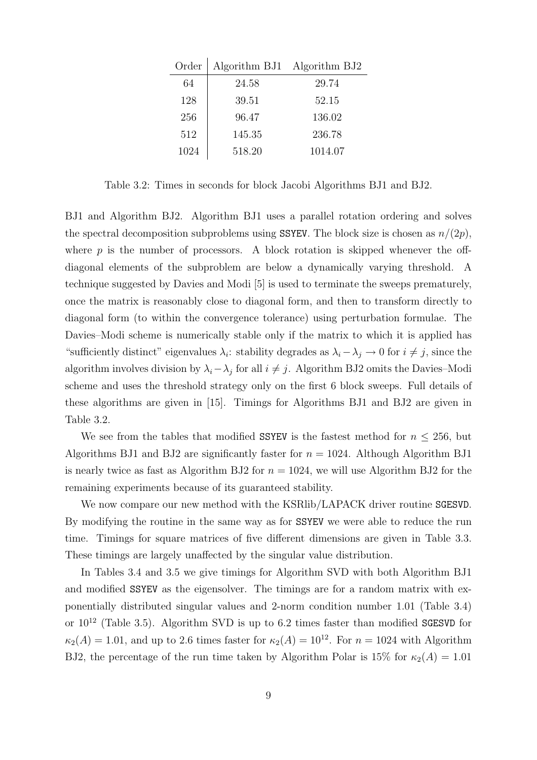| Order | Algorithm BJ1 | Algorithm BJ2 |
|-------|---------------|---------------|
| 64    | 24.58         | 29.74         |
| 128   | 39.51         | 52.15         |
| 256   | 96.47         | 136.02        |
| 512   | 145.35        | 236.78        |
| 1024  | 518.20        | 1014.07       |

Table 3.2: Times in seconds for block Jacobi Algorithms BJ1 and BJ2.

BJ1 and Algorithm BJ2. Algorithm BJ1 uses a parallel rotation ordering and solves the spectral decomposition subproblems using SSYEV. The block size is chosen as  $n/(2p)$ , where  $p$  is the number of processors. A block rotation is skipped whenever the offdiagonal elements of the subproblem are below a dynamically varying threshold. A technique suggested by Davies and Modi [5] is used to terminate the sweeps prematurely, once the matrix is reasonably close to diagonal form, and then to transform directly to diagonal form (to within the convergence tolerance) using perturbation formulae. The Davies–Modi scheme is numerically stable only if the matrix to which it is applied has "sufficiently distinct" eigenvalues  $\lambda_i$ : stability degrades as  $\lambda_i - \lambda_j \to 0$  for  $i \neq j$ , since the algorithm involves division by  $\lambda_i - \lambda_j$  for all  $i \neq j$ . Algorithm BJ2 omits the Davies–Modi scheme and uses the threshold strategy only on the first 6 block sweeps. Full details of these algorithms are given in [15]. Timings for Algorithms BJ1 and BJ2 are given in Table 3.2.

We see from the tables that modified SSYEV is the fastest method for  $n \leq 256$ , but Algorithms BJ1 and BJ2 are significantly faster for  $n = 1024$ . Although Algorithm BJ1 is nearly twice as fast as Algorithm BJ2 for  $n = 1024$ , we will use Algorithm BJ2 for the remaining experiments because of its guaranteed stability.

We now compare our new method with the KSRlib/LAPACK driver routine SGESVD. By modifying the routine in the same way as for SSYEV we were able to reduce the run time. Timings for square matrices of five different dimensions are given in Table 3.3. These timings are largely unaffected by the singular value distribution.

In Tables 3.4 and 3.5 we give timings for Algorithm SVD with both Algorithm BJ1 and modified SSYEV as the eigensolver. The timings are for a random matrix with exponentially distributed singular values and 2-norm condition number 1.01 (Table 3.4) or  $10^{12}$  (Table 3.5). Algorithm SVD is up to 6.2 times faster than modified SGESVD for  $\kappa_2(A) = 1.01$ , and up to 2.6 times faster for  $\kappa_2(A) = 10^{12}$ . For  $n = 1024$  with Algorithm BJ2, the percentage of the run time taken by Algorithm Polar is 15% for  $\kappa_2(A) = 1.01$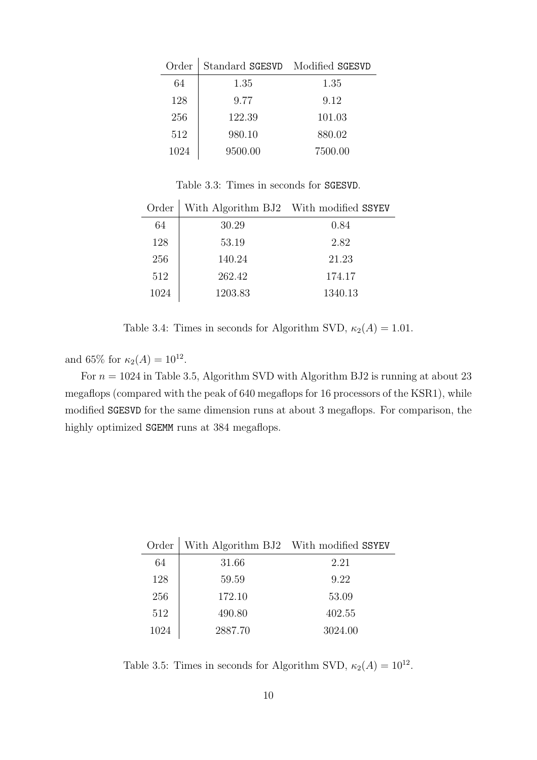| Order | Standard SGESVD Modified SGESVD |         |
|-------|---------------------------------|---------|
| 64    | 1.35                            | 1.35    |
| 128   | 9.77                            | 9.12    |
| 256   | 122.39                          | 101.03  |
| 512   | 980.10                          | 880.02  |
| 1024  | 9500.00                         | 7500.00 |

Table 3.3: Times in seconds for SGESVD.

| Order | With Algorithm BJ2 With modified SSYEV |         |
|-------|----------------------------------------|---------|
| 64    | 30.29                                  | 0.84    |
| 128   | 53.19                                  | 2.82    |
| 256   | 140.24                                 | 21.23   |
| 512   | 262.42                                 | 174.17  |
| 1024  | 1203.83                                | 1340.13 |

Table 3.4: Times in seconds for Algorithm SVD,  $\kappa_2(A) = 1.01$ .

and 65\% for  $\kappa_2(A) = 10^{12}$ .

For  $n = 1024$  in Table 3.5, Algorithm SVD with Algorithm BJ2 is running at about 23 megaflops (compared with the peak of 640 megaflops for 16 processors of the KSR1), while modified SGESVD for the same dimension runs at about 3 megaflops. For comparison, the highly optimized **SGEMM** runs at 384 megaflops.

| Order | With Algorithm BJ2 With modified SSYEV |         |
|-------|----------------------------------------|---------|
| 64    | 31.66                                  | 2.21    |
| 128   | 59.59                                  | 9.22    |
| 256   | 172.10                                 | 53.09   |
| 512   | 490.80                                 | 402.55  |
| 1024  | 2887.70                                | 3024.00 |

Table 3.5: Times in seconds for Algorithm SVD,  $\kappa_2(A) = 10^{12}$ .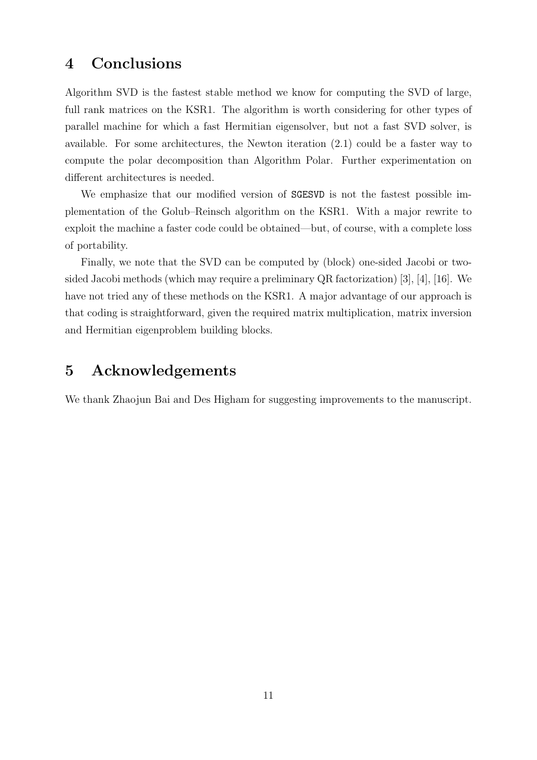### 4 Conclusions

Algorithm SVD is the fastest stable method we know for computing the SVD of large, full rank matrices on the KSR1. The algorithm is worth considering for other types of parallel machine for which a fast Hermitian eigensolver, but not a fast SVD solver, is available. For some architectures, the Newton iteration (2.1) could be a faster way to compute the polar decomposition than Algorithm Polar. Further experimentation on different architectures is needed.

We emphasize that our modified version of SGESVD is not the fastest possible implementation of the Golub–Reinsch algorithm on the KSR1. With a major rewrite to exploit the machine a faster code could be obtained—but, of course, with a complete loss of portability.

Finally, we note that the SVD can be computed by (block) one-sided Jacobi or twosided Jacobi methods (which may require a preliminary QR factorization) [3], [4], [16]. We have not tried any of these methods on the KSR1. A major advantage of our approach is that coding is straightforward, given the required matrix multiplication, matrix inversion and Hermitian eigenproblem building blocks.

### 5 Acknowledgements

We thank Zhaojun Bai and Des Higham for suggesting improvements to the manuscript.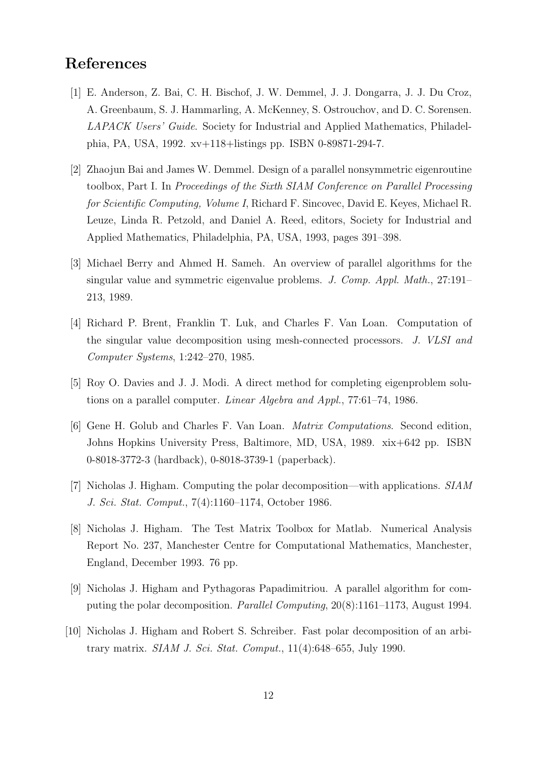### References

- [1] E. Anderson, Z. Bai, C. H. Bischof, J. W. Demmel, J. J. Dongarra, J. J. Du Croz, A. Greenbaum, S. J. Hammarling, A. McKenney, S. Ostrouchov, and D. C. Sorensen. LAPACK Users' Guide. Society for Industrial and Applied Mathematics, Philadelphia, PA, USA, 1992. xv+118+listings pp. ISBN 0-89871-294-7.
- [2] Zhaojun Bai and James W. Demmel. Design of a parallel nonsymmetric eigenroutine toolbox, Part I. In Proceedings of the Sixth SIAM Conference on Parallel Processing for Scientific Computing, Volume I, Richard F. Sincovec, David E. Keyes, Michael R. Leuze, Linda R. Petzold, and Daniel A. Reed, editors, Society for Industrial and Applied Mathematics, Philadelphia, PA, USA, 1993, pages 391–398.
- [3] Michael Berry and Ahmed H. Sameh. An overview of parallel algorithms for the singular value and symmetric eigenvalue problems. J. Comp. Appl. Math., 27:191– 213, 1989.
- [4] Richard P. Brent, Franklin T. Luk, and Charles F. Van Loan. Computation of the singular value decomposition using mesh-connected processors. J. VLSI and Computer Systems, 1:242–270, 1985.
- [5] Roy O. Davies and J. J. Modi. A direct method for completing eigenproblem solutions on a parallel computer. Linear Algebra and Appl., 77:61–74, 1986.
- [6] Gene H. Golub and Charles F. Van Loan. Matrix Computations. Second edition, Johns Hopkins University Press, Baltimore, MD, USA, 1989. xix+642 pp. ISBN 0-8018-3772-3 (hardback), 0-8018-3739-1 (paperback).
- [7] Nicholas J. Higham. Computing the polar decomposition—with applications. SIAM J. Sci. Stat. Comput., 7(4):1160–1174, October 1986.
- [8] Nicholas J. Higham. The Test Matrix Toolbox for Matlab. Numerical Analysis Report No. 237, Manchester Centre for Computational Mathematics, Manchester, England, December 1993. 76 pp.
- [9] Nicholas J. Higham and Pythagoras Papadimitriou. A parallel algorithm for computing the polar decomposition. Parallel Computing, 20(8):1161–1173, August 1994.
- [10] Nicholas J. Higham and Robert S. Schreiber. Fast polar decomposition of an arbitrary matrix. SIAM J. Sci. Stat. Comput., 11(4):648–655, July 1990.